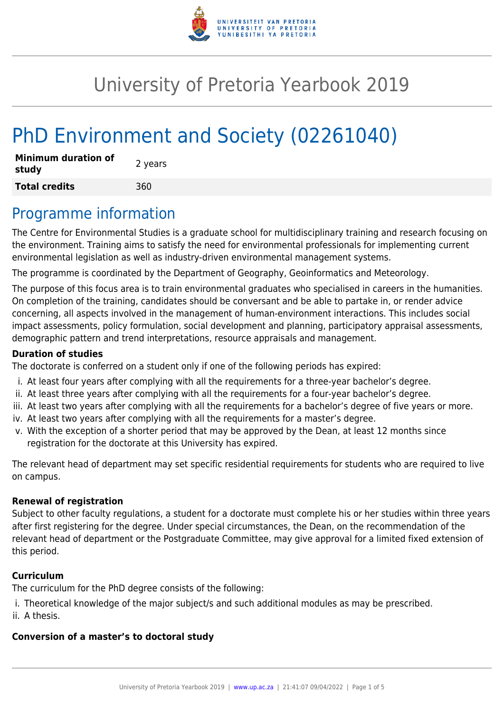

# University of Pretoria Yearbook 2019

# PhD Environment and Society (02261040)

| Minimum duration of<br>study | 2 years |
|------------------------------|---------|
| <b>Total credits</b>         | 360     |

### Programme information

The Centre for Environmental Studies is a graduate school for multidisciplinary training and research focusing on the environment. Training aims to satisfy the need for environmental professionals for implementing current environmental legislation as well as industry-driven environmental management systems.

The programme is coordinated by the Department of Geography, Geoinformatics and Meteorology.

The purpose of this focus area is to train environmental graduates who specialised in careers in the humanities. On completion of the training, candidates should be conversant and be able to partake in, or render advice concerning, all aspects involved in the management of human-environment interactions. This includes social impact assessments, policy formulation, social development and planning, participatory appraisal assessments, demographic pattern and trend interpretations, resource appraisals and management.

#### **Duration of studies**

The doctorate is conferred on a student only if one of the following periods has expired:

- i. At least four years after complying with all the requirements for a three-year bachelor's degree.
- ii. At least three years after complying with all the requirements for a four-year bachelor's degree.
- iii. At least two years after complying with all the requirements for a bachelor's degree of five years or more.
- iv. At least two years after complying with all the requirements for a master's degree.
- v. With the exception of a shorter period that may be approved by the Dean, at least 12 months since registration for the doctorate at this University has expired.

The relevant head of department may set specific residential requirements for students who are required to live on campus.

#### **Renewal of registration**

Subject to other faculty regulations, a student for a doctorate must complete his or her studies within three years after first registering for the degree. Under special circumstances, the Dean, on the recommendation of the relevant head of department or the Postgraduate Committee, may give approval for a limited fixed extension of this period.

#### **Curriculum**

The curriculum for the PhD degree consists of the following:

- i. Theoretical knowledge of the major subject/s and such additional modules as may be prescribed.
- ii. A thesis.

### **Conversion of a master's to doctoral study**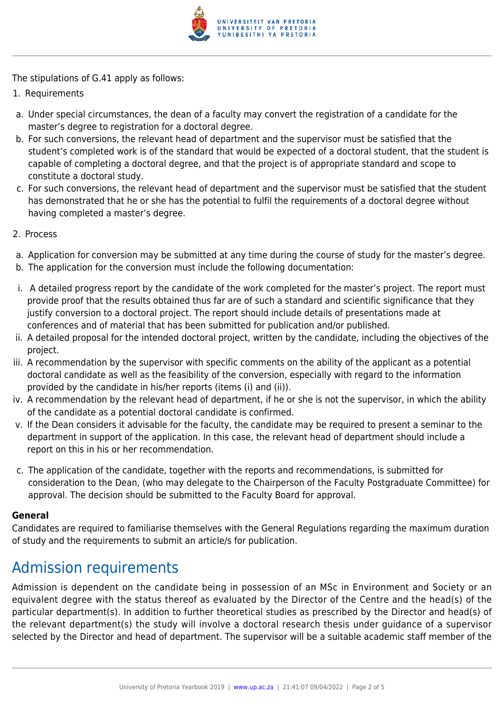

The stipulations of G.41 apply as follows:

- 1. Requirements
- a. Under special circumstances, the dean of a faculty may convert the registration of a candidate for the master's degree to registration for a doctoral degree.
- b. For such conversions, the relevant head of department and the supervisor must be satisfied that the student's completed work is of the standard that would be expected of a doctoral student, that the student is capable of completing a doctoral degree, and that the project is of appropriate standard and scope to constitute a doctoral study.
- c. For such conversions, the relevant head of department and the supervisor must be satisfied that the student has demonstrated that he or she has the potential to fulfil the requirements of a doctoral degree without having completed a master's degree.
- 2. Process
- a. Application for conversion may be submitted at any time during the course of study for the master's degree.
- b. The application for the conversion must include the following documentation:
- i. A detailed progress report by the candidate of the work completed for the master's project. The report must provide proof that the results obtained thus far are of such a standard and scientific significance that they justify conversion to a doctoral project. The report should include details of presentations made at conferences and of material that has been submitted for publication and/or published.
- ii. A detailed proposal for the intended doctoral project, written by the candidate, including the objectives of the project.
- iii. A recommendation by the supervisor with specific comments on the ability of the applicant as a potential doctoral candidate as well as the feasibility of the conversion, especially with regard to the information provided by the candidate in his/her reports (items (i) and (ii)).
- iv. A recommendation by the relevant head of department, if he or she is not the supervisor, in which the ability of the candidate as a potential doctoral candidate is confirmed.
- v. If the Dean considers it advisable for the faculty, the candidate may be required to present a seminar to the department in support of the application. In this case, the relevant head of department should include a report on this in his or her recommendation.
- c. The application of the candidate, together with the reports and recommendations, is submitted for consideration to the Dean, (who may delegate to the Chairperson of the Faculty Postgraduate Committee) for approval. The decision should be submitted to the Faculty Board for approval.

#### **General**

Candidates are required to familiarise themselves with the General Regulations regarding the maximum duration of study and the requirements to submit an article/s for publication.

# Admission requirements

Admission is dependent on the candidate being in possession of an MSc in Environment and Society or an equivalent degree with the status thereof as evaluated by the Director of the Centre and the head(s) of the particular department(s). In addition to further theoretical studies as prescribed by the Director and head(s) of the relevant department(s) the study will involve a doctoral research thesis under guidance of a supervisor selected by the Director and head of department. The supervisor will be a suitable academic staff member of the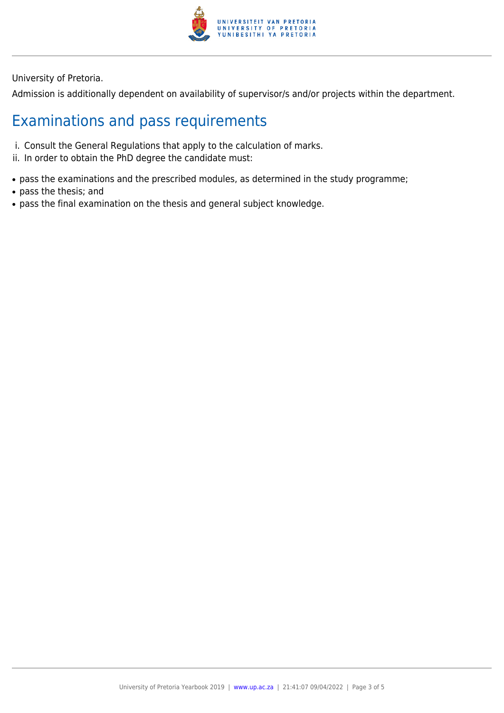

University of Pretoria.

Admission is additionally dependent on availability of supervisor/s and/or projects within the department.

## Examinations and pass requirements

- i. Consult the General Regulations that apply to the calculation of marks.
- ii. In order to obtain the PhD degree the candidate must:
- pass the examinations and the prescribed modules, as determined in the study programme;
- pass the thesis; and
- pass the final examination on the thesis and general subject knowledge.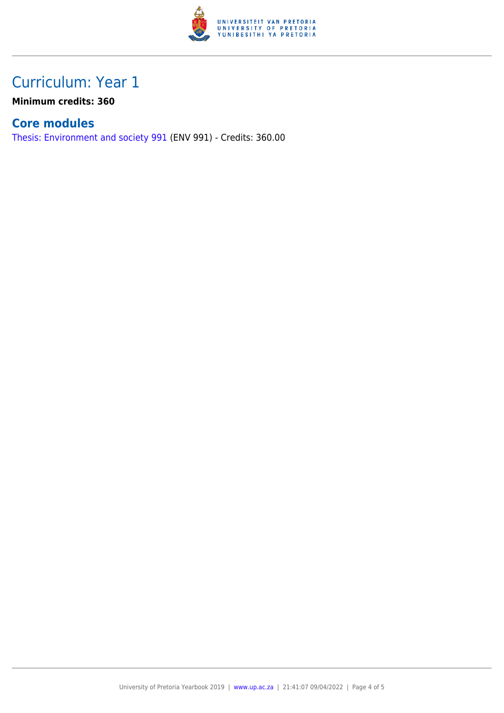

## Curriculum: Year 1

**Minimum credits: 360**

### **Core modules**

[Thesis: Environment and society 991](https://www.up.ac.za/faculty-of-education/yearbooks/2019/modules/view/ENV 991) (ENV 991) - Credits: 360.00